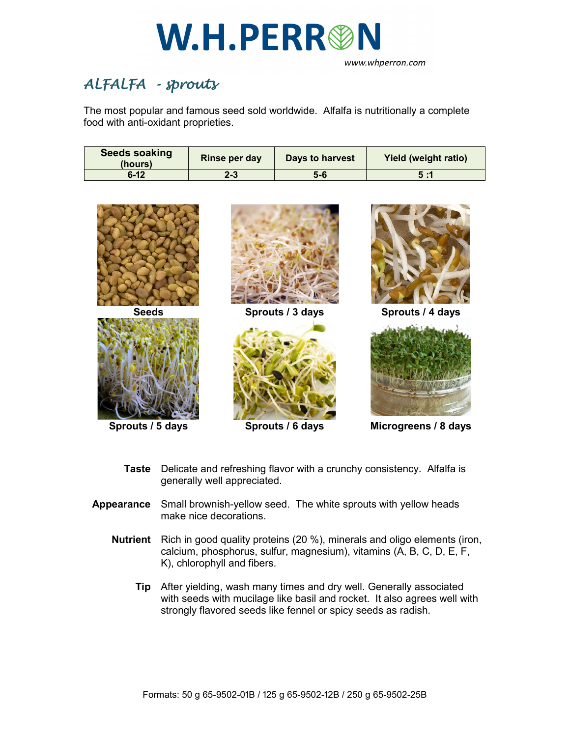

www.whperron.com

## *ALFALFA - sprouts*

The most popular and famous seed sold worldwide. Alfalfa is nutritionally a complete food with anti-oxidant proprieties.

| <b>Seeds soaking</b><br>(hours) | Rinse per day | Days to harvest | <b>Yield (weight ratio)</b> |
|---------------------------------|---------------|-----------------|-----------------------------|
| $6 - 12$                        | $2 - 3$       | 5-6             | 5:1                         |



**Taste** Delicate and refreshing flavor with a crunchy consistency. Alfalfa is generally well appreciated.

- **Appearance** Small brownish-yellow seed. The white sprouts with yellow heads make nice decorations.
	- **Nutrient** Rich in good quality proteins (20 %), minerals and oligo elements (iron, calcium, phosphorus, sulfur, magnesium), vitamins (A, B, C, D, E, F, K), chlorophyll and fibers.
		- **Tip** After yielding, wash many times and dry well. Generally associated with seeds with mucilage like basil and rocket. It also agrees well with strongly flavored seeds like fennel or spicy seeds as radish.